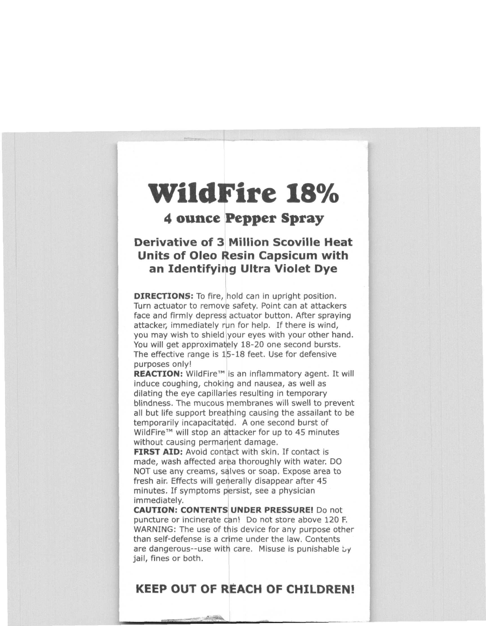## **WildFire 18**%

## 4 ounce Pepper Spray

## Derivative of 3 Million Scoville Heat Units of Oleo Resin Capsicum with an Identifying Ultra Violet Dye

**DIRECTIONS:** To fire, hold can in upright position. Turn actuator to remove safety. Point can at attackers face and firmly depress actuator button. After spraying attacker, immediately run for help. If there is wind, you may wish to shield your eyes with your other hand. You will get approximately 18-20 one second bursts. The effective range is 15-18 feet. Use for defensive purposes only!

**REACTION:** WildFire™ is an inflammatory agent. It will induce coughing, choking and nausea, as well as dilating the eye capillaries resulting in temporary blindness. The mucous membranes will swell to prevent all but life support breathing causing the assailant to be temporarily incapacitated. A one second burst of WildFire<sup>™</sup> will stop an attacker for up to 45 minutes without causing permanent damage.

**FIRST AID:** Avoid contact with skin. If contact is made, wash affected area thoroughly with water. DO NOT use any creams, salves or soap. Expose area to fresh air. Effects will geherally disappear after 45 minutes, If symptoms persist, see a physician immediately.

**CAUTION: CONTENTS UNDER PRESSURE! Do not** puncture or incinerate can! Do not store above 120 F. WARNING: The use of this device for any purpose other than self-defense is a crime under the law. Contents are dangerous--use with care. Misuse is punishable  $by$ jail, fines or both.

## **KEEP** OUT OF REACH OF CHILDREN!